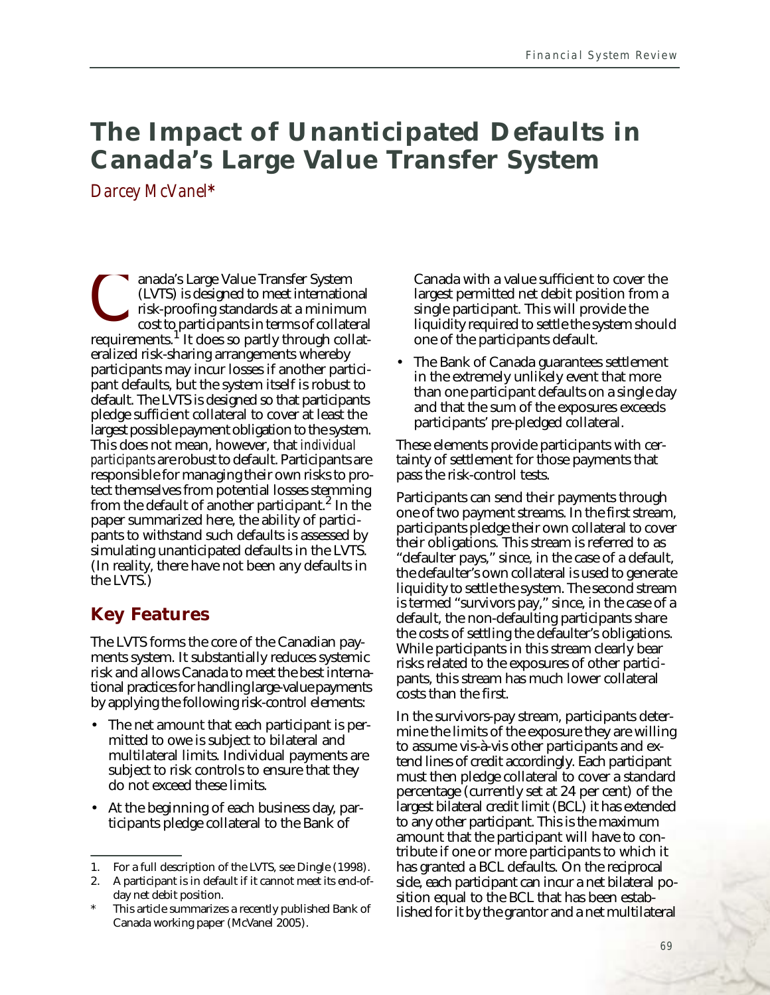# **The Impact of Unanticipated Defaults in Canada's Large Value Transfer System**

*Darcey McVanel\**

anada's Large Value Transfer System (LVTS) is designed to meet international risk-proofing standards at a minimum cost to participants in terms of collateral requirements.<sup>1</sup> It does so partly through collateralized risk-sharing arrangements whereby participants may incur losses if another participant defaults, but the system itself is robust to default. The LVTS is designed so that participants pledge sufficient collateral to cover at least the largest possible payment obligation to the system. This does not mean, however, that *individual participants* are robust to default. Participants are responsible for managing their own risks to protect themselves from potential losses stemming from the default of another participant.<sup>2</sup> In the paper summarized here, the ability of participants to withstand such defaults is assessed by simulating unanticipated defaults in the LVTS. (In reality, there have not been any defaults in the LVTS.) anada's Large Value Transfer System (LVTS) is designed to meet international risk-proofing standards at a minimum cost to participants in terms of collateral liquidity required to settle the system should be expressed by t

# **Key Features**

The LVTS forms the core of the Canadian payments system. It substantially reduces systemic risk and allows Canada to meet the best international practices for handling large-value payments by applying the following risk-control elements:

- The net amount that each participant is permitted to owe is subject to bilateral and multilateral limits. Individual payments are subject to risk controls to ensure that they do not exceed these limits.
- At the beginning of each business day, participants pledge collateral to the Bank of

largest permitted net debit position from a single participant. This will provide the liquidity required to settle the system should one of the participants default.

• The Bank of Canada guarantees settlement in the extremely unlikely event that more than one participant defaults on a single day and that the sum of the exposures exceeds participants' pre-pledged collateral.

These elements provide participants with certainty of settlement for those payments that pass the risk-control tests.

Participants can send their payments through one of two payment streams. In the first stream, participants pledge their own collateral to cover their obligations. This stream is referred to as "defaulter pays," since, in the case of a default, the defaulter's own collateral is used to generate liquidity to settle the system. The second stream is termed "survivors pay," since, in the case of a default, the non-defaulting participants share the costs of settling the defaulter's obligations. While participants in this stream clearly bear risks related to the exposures of other participants, this stream has much lower collateral costs than the first.

In the survivors-pay stream, participants determine the limits of the exposure they are willing to assume vis-à-vis other participants and extend lines of credit accordingly. Each participant must then pledge collateral to cover a standard percentage (currently set at 24 per cent) of the largest bilateral credit limit (BCL) it has extended to any other participant. This is the maximum amount that the participant will have to contribute if one or more participants to which it has granted a BCL defaults. On the reciprocal side, each participant can incur a net bilateral position equal to the BCL that has been established for it by the grantor and a net multilateral

<sup>1.</sup> For a full description of the LVTS, see Dingle (1998).

<sup>2.</sup> A participant is in default if it cannot meet its end-ofday net debit position.

This article summarizes a recently published Bank of Canada working paper (McVanel 2005).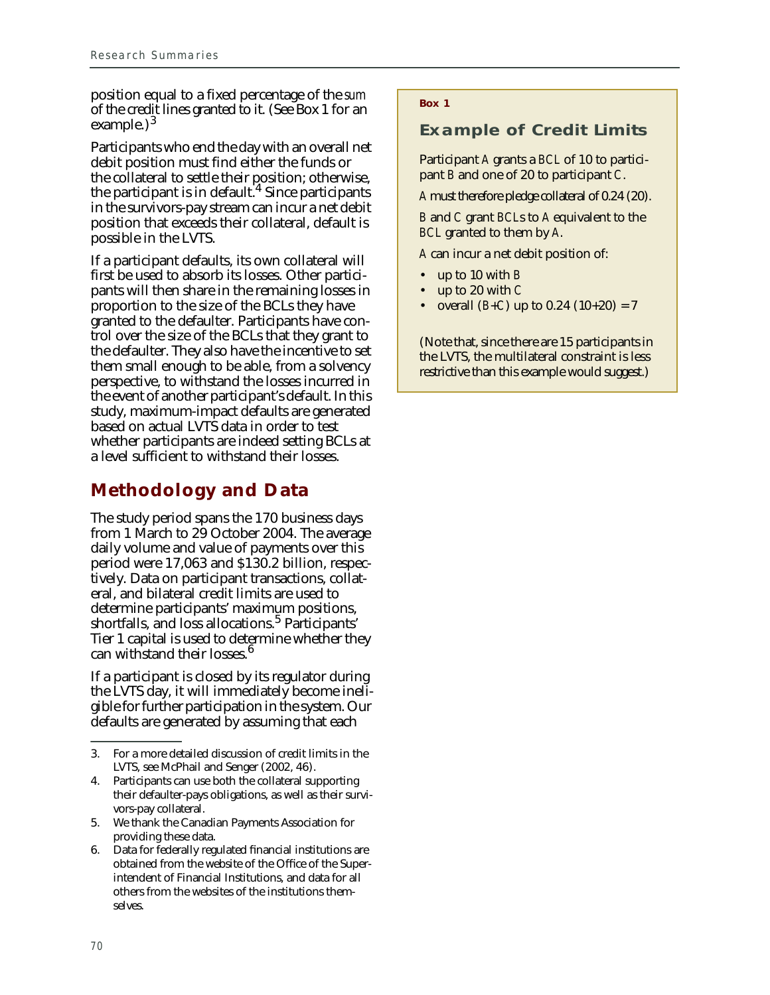position equal to a fixed percentage of the *sum* of the credit lines granted to it. (See Box 1 for an example. $)^3$ 

Participants who end the day with an overall net debit position must find either the funds or the collateral to settle their position; otherwise, the participant is in default.<sup>4</sup> Since participants in the survivors-pay stream can incur a net debit position that exceeds their collateral, default is possible in the LVTS.

If a participant defaults, its own collateral will first be used to absorb its losses. Other participants will then share in the remaining losses in proportion to the size of the BCLs they have granted to the defaulter. Participants have control over the size of the BCLs that they grant to the defaulter. They also have the incentive to set them small enough to be able, from a solvency perspective, to withstand the losses incurred in the event of another participant's default. In this study, maximum-impact defaults are generated based on actual LVTS data in order to test whether participants are indeed setting BCLs at a level sufficient to withstand their losses.

# **Methodology and Data**

The study period spans the 170 business days from 1 March to 29 October 2004. The average daily volume and value of payments over this period were 17,063 and \$130.2 billion, respectively. Data on participant transactions, collateral, and bilateral credit limits are used to determine participants' maximum positions, shortfalls, and loss allocations.<sup>5</sup> Participants' Tier 1 capital is used to determine whether they can withstand their losses.<sup>6</sup>

If a participant is closed by its regulator during the LVTS day, it will immediately become ineligible for further participation in the system. Our defaults are generated by assuming that each

- 4. Participants can use both the collateral supporting their defaulter-pays obligations, as well as their survivors-pay collateral.
- 5. We thank the Canadian Payments Association for providing these data.
- 6. Data for federally regulated financial institutions are obtained from the website of the Office of the Superintendent of Financial Institutions, and data for all others from the websites of the institutions themselves.

#### **Box 1**

### **Example of Credit Limits**

Participant *A* grants a *BCL* of 10 to participant *B* and one of 20 to participant *C*.

*A* must therefore pledge collateral of 0.24 (20).

*B* and *C* grant *BCL*s to *A* equivalent to the *BCL* granted to them by *A*.

*A* can incur a net debit position of:

- up to 10 with *B*
- up to 20 with *C*
- overall  $(B+C)$  up to 0.24  $(10+20) = 7$

(Note that, since there are 15 participants in the LVTS, the multilateral constraint is less restrictive than this example would suggest.)

<sup>3.</sup> For a more detailed discussion of credit limits in the LVTS, see McPhail and Senger (2002, 46).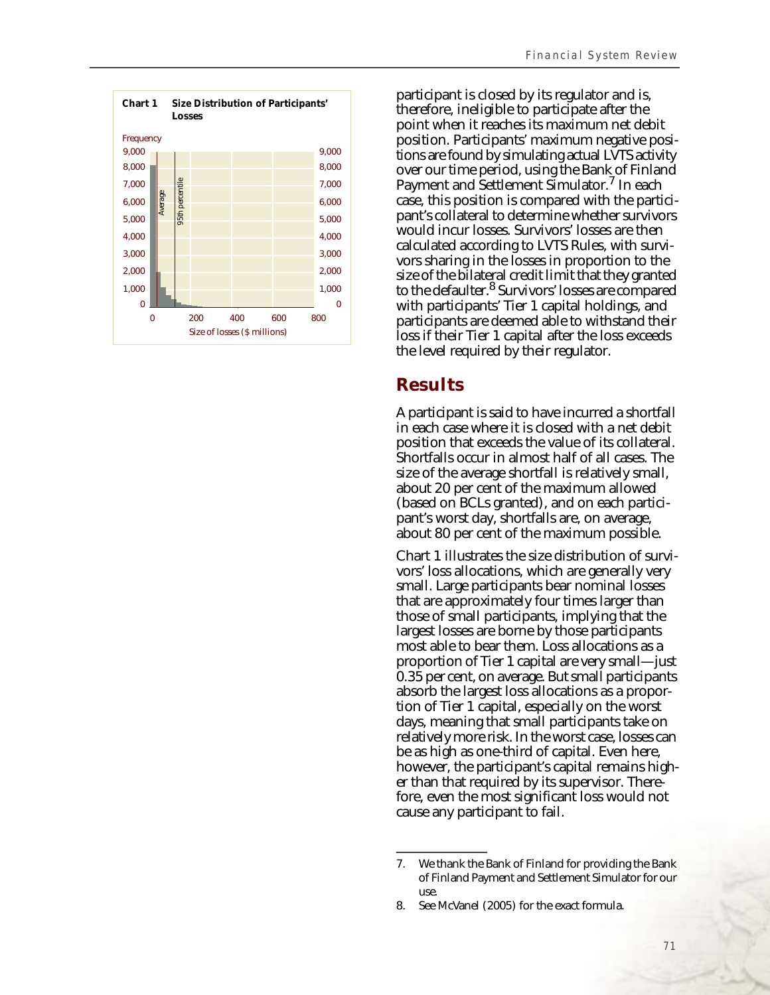

participant is closed by its regulator and is, therefore, ineligible to participate after the point when it reaches its maximum net debit position. Participants' maximum negative positions are found by simulating actual LVTS activity over our time period, using the Bank of Finland Payment and Settlement Simulator.<sup>7</sup> In each case, this position is compared with the participant's collateral to determine whether survivors would incur losses. Survivors' losses are then calculated according to LVTS Rules, with survivors sharing in the losses in proportion to the size of the bilateral credit limit that they granted to the defaulter.<sup>8</sup> Survivors' losses are compared with participants' Tier 1 capital holdings, and participants are deemed able to withstand their loss if their Tier 1 capital after the loss exceeds the level required by their regulator.

### **Results**

A participant is said to have incurred a shortfall in each case where it is closed with a net debit position that exceeds the value of its collateral. Shortfalls occur in almost half of all cases. The size of the average shortfall is relatively small, about 20 per cent of the maximum allowed (based on BCLs granted), and on each participant's worst day, shortfalls are, on average, about 80 per cent of the maximum possible.

Chart 1 illustrates the size distribution of survivors' loss allocations, which are generally very small. Large participants bear nominal losses that are approximately four times larger than those of small participants, implying that the largest losses are borne by those participants most able to bear them. Loss allocations as a proportion of Tier 1 capital are very small—just 0.35 per cent, on average. But small participants absorb the largest loss allocations as a proportion of Tier 1 capital, especially on the worst days, meaning that small participants take on relatively more risk. In the worst case, losses can be as high as one-third of capital. Even here, however, the participant's capital remains higher than that required by its supervisor. Therefore, even the most significant loss would not cause any participant to fail.

<sup>7.</sup> We thank the Bank of Finland for providing the Bank of Finland Payment and Settlement Simulator for our use.

<sup>8.</sup> See McVanel (2005) for the exact formula.